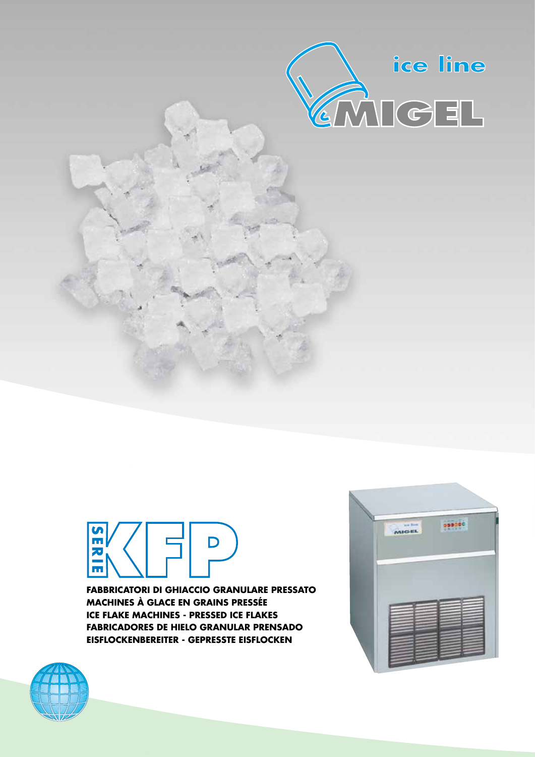



**FABBRICATORI DI GHIACCIO GRANULARE PRESSATO MACHINES À GLACE EN GRAINS PRESSÉE** ICE FLAKE MACHINES - PRESSED ICE FLAKES **FABRICADORES DE HIELO GRANULAR PRENSADO** EISFLOCKENBEREITER - GEPRESSTE EISFLOCKEN



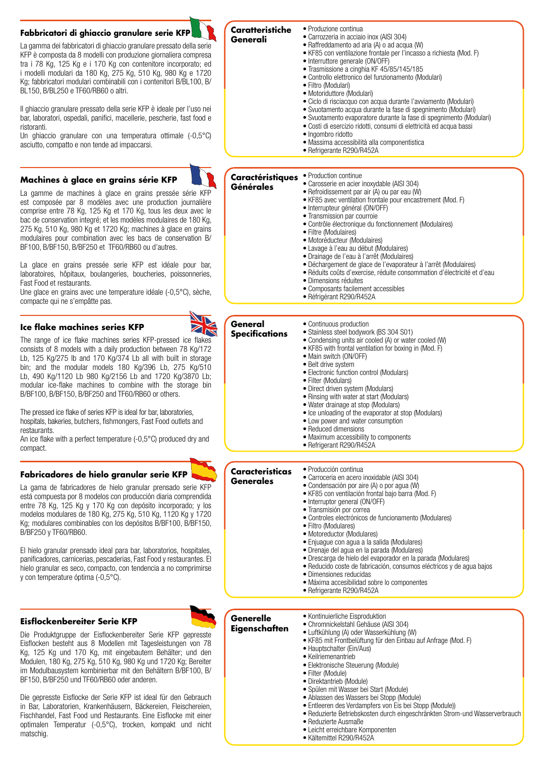# **Fabbricatori di ghiaccio granulare serie KFP**

La gamma dei fabbricatori di ghiaccio granulare pressato della serie KFP è composta da 8 modelli con produzione giornaliera compresa tra i 78 Kg, 125 Kg e i 170 Kg con contenitore incorporato; ed i modelli modulari da 180 Kg, 275 Kg, 510 Kg, 980 Kg e 1720 Kg; fabbricatori modulari combinabili con i contenitori B/BL100, B/ BL150, B/BL250 e TF60/RB60 o altri.

Il ghiaccio granulare pressato della serie KFP è ideale per l'uso nei bar, laboratori, ospedali, panifici, macellerie, pescherie, fast food e ristoranti.

Un ghiaccio granulare con una temperatura ottimale (-0,5°C) asciutto, compatto e non tende ad impaccarsi.

## **Machines à glace en grains série KFP**

La gamme de machines à glace en grains pressée série KF est composée par 8 modèles avec une production journalièr comprise entre 78 Kg, 125 Kg et 170 Kg, tous les deux avec bac de conservation integré; et les modèles modulaires de 180 Kg 275 Kg, 510 Kg, 980 Kg et 1720 Kg; machines à glace en grain modulaires pour combination avec les bacs de conservation B/ BF100, B/BF150, B/BF250 et TF60/RB60 ou d'autres.

La glace en grains pressée serie KFP est idéale pour ba laboratoires, hôpitaux, boulangeries, boucheries, poissonneries Fast Food et restaurants.

Une glace en grains avec une temperature idéale (-0,5°C), sèche compacte qui ne s'empâtte pas.

## **Ice flake machines series KFP**

The range of ice flake machines series KFP-pressed ice flakes consists of 8 models with a daily production between 78 Kg/172 Lb, 125 Kg/275 lb and 170 Kg/374 Lb all with built in storage bin; and the modular models 180 Kg/396 Lb, 275 Kg/510 Lb, 490 Kg/1120 Lb 980 Kg/2156 Lb and 1720 Kg/3870 Lb; modular ice-flake machines to combine with the storage bin B/BF100, B/BF150, B/BF250 and TF60/RB60 or others.

The pressed ice flake of series KFP is ideal for bar, laboratories, hospitals, bakeries, butchers, fishmongers, Fast Food outlets and restaurants.

An ice flake with a perfect temperature (-0,5°C) produced dry and compact.

## **Fabricadores de hielo granular serie KFP**

La gama de fabricadores de hielo granular prensado serie KFF está compuesta por 8 modelos con producción diaria comprendida entre 78 Kg, 125 Kg y 170 Kg con depósito incorporado; y los modelos modulares de 180 Kg, 275 Kg, 510 Kg, 1120 Kg y 1720 Kg; modulares combinables con los depósitos B/BF100, B/BF150, B/BF250 y TF60/RB60.

El hielo granular prensado ideal para bar, laboratorios, hospitales, panificadores, carnicerias, pescaderias, Fast Food y restaurantes. El hielo granular es seco, compacto, con tendencia a no comprimirse y con temperature óptima (-0,5°C).

#### **Eisflockenbereiter Serie KFP**

Die Produktgruppe der Eisflockenbereiter Serie KFP gepresste Eisflocken besteht aus 8 Modellen mit Tagesleistungen von 78 Kg, 125 Kg und 170 Kg, mit eingebautem Behälter; und den Modulen, 180 Kg, 275 Kg, 510 Kg, 980 Kg und 1720 Kg; Bereiter im Modulbausystem kombinierbar mit den Behältern B/BF100, B/ BF150, B/BF250 und TF60/RB60 oder anderen.

Die gepresste Eisflocke der Serie KFP ist ideal für den Gebrauch in Bar, Laboratorien, Krankenhäusern, Bäckereien, Fleischereien, Fischhandel, Fast Food und Restaurants. Eine Eisflocke mit einer optimalen Temperatur (-0,5°C), trocken, kompakt und nicht matschig.

| Caratteristiche<br>Generali | • Produzione continua<br>• Carrozzeria in acciaio inox (AISI 304)<br>• Raffreddamento ad aria (A) o ad acqua (W)<br>• KF85 con ventilazione frontale per l'incasso a richiesta (Mod. F)<br>• Interruttore generale (ON/OFF)<br>• Trasmissione a cinghia KF 45/85/145/185<br>• Controllo elettronico del funzionamento (Modulari)<br>• Filtro (Modulari)<br>• Motoriduttore (Modulari)<br>• Ciclo di risciacquo con acqua durante l'avviamento (Modulari) |
|-----------------------------|----------------------------------------------------------------------------------------------------------------------------------------------------------------------------------------------------------------------------------------------------------------------------------------------------------------------------------------------------------------------------------------------------------------------------------------------------------|

- Svuotamento acqua durante la fase di spegnimento (Modulari)
- Svuotamento evaporatore durante la fase di spegnimento (Modulari)
- Costi di esercizio ridotti, consumi di elettricità ed acqua bassi
- Ingombro ridotto
- Massima accessibilità alla componentistica
- Refrigerante R290/R452A

| <b>Caractéristiques</b><br>Générales | • Production continue<br>• Carosserie en acier inoxydable (AISI 304)<br>• Refroidissement par air (A) ou par eau (W)<br>• KF85 avec ventilation frontale pour encastrement (Mod. F)<br>• Interrupteur général (ON/OFF)                                                               |
|--------------------------------------|--------------------------------------------------------------------------------------------------------------------------------------------------------------------------------------------------------------------------------------------------------------------------------------|
|                                      | • Transmission par courroie<br>• Contrôle électronique du fonctionnement (Modulaires)<br>• Filtre (Modulaires)<br>• Motoréducteur (Modulaires)<br>• Lavage à l'eau au début (Modulaires)                                                                                             |
|                                      | • Drainage de l'eau à l'arrêt (Modulaires)<br>• Déchargement de glace de l'evaporateur à l'arrêt (Modulaires)<br>· Réduits coûts d'exercise, réduite consommation d'électricité et d'eau<br>• Dimensions réduites<br>• Composants facilement accessibles<br>• Réfrigérant R290/R452A |

| General<br><b>Specifications</b>    | ● Continuous production<br>• Stainless steel bodywork (BS 304 S01)<br>• Condensing units air cooled (A) or water cooled (W)<br>• KF85 with frontal ventilation for boxing in (Mod. F)<br>• Main switch (ON/OFF)<br>• Belt drive system<br>• Electronic function control (Modulars)<br>• Filter (Modulars)<br>· Direct driven system (Modulars)<br>• Rinsing with water at start (Modulars)<br>• Water drainage at stop (Modulars)<br>• Ice unloading of the evaporator at stop (Modulars)<br>• Low power and water consumption<br>• Reduced dimensions<br>• Maximum accessibility to components<br>• Refrigerant R290/R452A                                                                        |
|-------------------------------------|----------------------------------------------------------------------------------------------------------------------------------------------------------------------------------------------------------------------------------------------------------------------------------------------------------------------------------------------------------------------------------------------------------------------------------------------------------------------------------------------------------------------------------------------------------------------------------------------------------------------------------------------------------------------------------------------------|
| <b>Caracteristicas</b><br>Generales | • Producción continua<br>· Carroceria en acero inoxidable (AISI 304)<br>• Condensación por aire (A) o por agua (W)<br>• KF85 con ventilación frontal bajo barra (Mod. F)<br>· Interruptor general (ON/OFF)<br>· Transmisión por correa<br>• Controles electrónicos de funcionamento (Modulares)<br>· Filtro (Modulares)<br>· Motoreductor (Modulares)<br>• Enjuaque con aqua a la salida (Modulares)<br>· Drenaje del agua en la parada (Modulares)<br>· Drescarga de hielo del evaporador en la parada (Modulares)<br>• Reducido coste de fabricación, consumos eléctricos y de agua bajos<br>• Dimensiones reducidas<br>· Máxima accesibilidad sobre lo componentes<br>• Refrigerante R290/R452A |
| Generelle<br>Eigenschaften          | • Kontinuierliche Eisproduktion<br>· Chromnickelstahl Gehäuse (AISI 304)<br>• Luftkühlung (A) oder Wasserkühlung (W)<br>• KF85 mit Frontbelüftung für den Einbau auf Anfrage (Mod. F)<br>• Hauptschalter (Ein/Aus)<br>• Keilriemenantrieb<br>· Elektronische Steuerung (Module)<br>• Filter (Module)<br>· Direktantrieb (Module)<br>· Spülen mit Wasser bei Start (Module)<br>• Ablassen des Wassers bei Stopp (Module)<br>• Entleeren des Verdampfers von Eis bei Stopp (Module))<br>• Reduzierte Betriebskosten durch eingeschränkten Strom-und Wasserverbrauch<br>• Reduzierte Ausmaße<br>• Leicht erreichbare Komponenten                                                                      |

• Kältemittel R290/R452A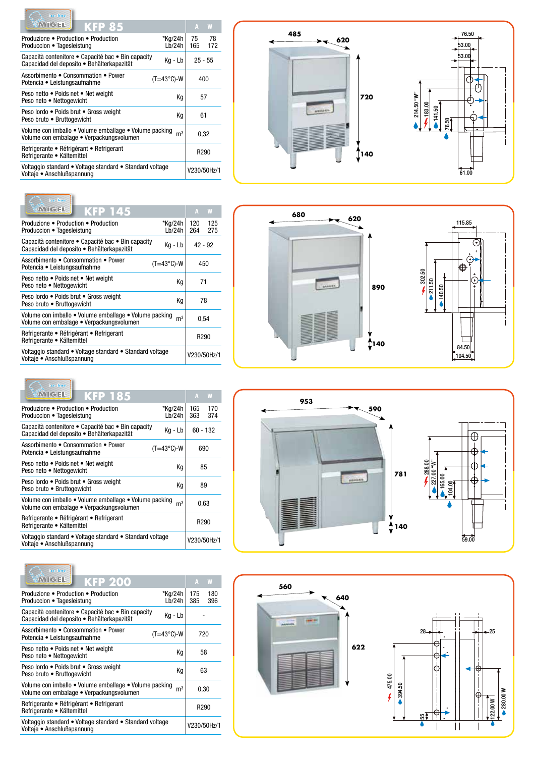| ice line                                                                                           |                     |                  |                 |
|----------------------------------------------------------------------------------------------------|---------------------|------------------|-----------------|
| KMGE<br><b>KFP 85</b>                                                                              |                     | A                | W               |
| Produzione ● Production ● Production<br>Produccion • Tagesleistung                                 | *Kg/24h<br>Lb/24h   | 75               | - 78<br>165 172 |
| Capacità contenitore • Capacité bac • Bin capacity<br>Capacidad del deposito · Behälterkapazität   | Kg - Lb             | $25 - 55$        |                 |
| Assorbimento . Consommation . Power<br>Potencia • Leistungsaufnahme                                | $(T=43^{\circ}C)-W$ | 400              |                 |
| Peso netto • Poids net • Net weight<br>Peso neto . Nettogewicht                                    | Кq                  | 57               |                 |
| Peso lordo · Poids brut · Gross weight<br>Peso bruto . Bruttogewicht                               | Кq                  | 61               |                 |
| Volume con imballo • Volume emballage • Volume packing<br>Volume con embalage • Verpackungsvolumen | m <sup>3</sup>      | 0.32             |                 |
| Refrigerante • Réfrigérant • Refrigerant<br>Refrigerante · Kältemittel                             |                     | R <sub>290</sub> |                 |
| Voltaggio standard • Voltage standard • Standard voltage<br>Voltaje • Anschlußspannung             |                     | V230/50Hz/1      |                 |

| ice line                                                                                           |                     |                  |             |
|----------------------------------------------------------------------------------------------------|---------------------|------------------|-------------|
| <b>MIGE</b><br><b>KFP 145</b>                                                                      |                     | А                | W           |
| Produzione ● Production ● Production<br>Produccion • Tagesleistung                                 | *Kg/24h<br>Lb/24h   | 120<br>264       | 125<br>275  |
| Capacità contenitore • Capacité bac • Bin capacity<br>Capacidad del deposito · Behälterkapazität   | Kg - Lb             | $42 - 92$        |             |
| Assorbimento • Consommation • Power<br>Potencia • Leistungsaufnahme                                | $(T=43^{\circ}C)-W$ | 450              |             |
| Peso netto . Poids net . Net weight<br>Peso neto . Nettogewicht                                    | Кq                  | 71               |             |
| Peso lordo · Poids brut · Gross weight<br>Peso bruto . Bruttogewicht                               | Кq                  |                  | 78          |
| Volume con imballo . Volume emballage . Volume packing<br>Volume con embalage · Verpackungsvolumen | m <sup>3</sup>      | 0.54             |             |
| Refrigerante • Réfrigérant • Refrigerant<br>Refrigerante · Kältemittel                             |                     | R <sub>290</sub> |             |
| Voltaggio standard • Voltage standard • Standard voltage<br>Voltaje • Anschlußspannung             |                     |                  | V230/50Hz/1 |

 $\overline{\phantom{0}}$ 

| ice line                                                                                           |                     |            |                  |
|----------------------------------------------------------------------------------------------------|---------------------|------------|------------------|
| <b>MIGE</b><br><b>KFP 185</b>                                                                      |                     | A          | W                |
| Produzione ● Production ● Production<br>Produccion • Tagesleistung                                 | *Kg/24h<br>Lb/24h   | 165<br>363 | 170<br>374       |
| Capacità contenitore • Capacité bac • Bin capacity<br>Capacidad del deposito · Behälterkapazität   | Kg - Lb             |            | $60 - 132$       |
| Assorbimento • Consommation • Power<br>Potencia • Leistungsaufnahme                                | $(T=43^{\circ}C)-W$ |            | 690              |
| Peso netto • Poids net • Net weight<br>Peso neto • Nettogewicht                                    | Кq                  |            | 85               |
| Peso lordo · Poids brut · Gross weight<br>Peso bruto • Bruttogewicht                               | Кq                  |            | 89               |
| Volume con imballo . Volume emballage . Volume packing<br>Volume con embalage · Verpackungsvolumen | m <sup>3</sup>      |            | 0.63             |
| Refrigerante • Réfrigérant • Refrigerant<br>Refrigerante • Kältemittel                             |                     |            | R <sub>290</sub> |
| Voltaggio standard • Voltage standard • Standard voltage<br>Voltaje • Anschlußspannung             |                     |            | V230/50Hz/1      |
|                                                                                                    |                     |            |                  |

| ice line                                                                                           |                     |                |                  |             |
|----------------------------------------------------------------------------------------------------|---------------------|----------------|------------------|-------------|
| <b>KIMMGEN</b><br><b>KFP 200</b>                                                                   |                     |                | A                | W           |
| Produzione ● Production ● Production<br>Produccion • Tagesleistung                                 | *Kg/24h             | Lb/24h         | 175<br>385       | 180<br>396  |
| Capacità contenitore • Capacité bac • Bin capacity<br>Capacidad del deposito • Behälterkapazität   |                     | Kg - Lb        |                  |             |
| Assorbimento • Consommation • Power<br>Potencia • Leistungsaufnahme                                | $(T=43^{\circ}C)-W$ |                | 720              |             |
| Peso netto • Poids net • Net weight<br>Peso neto • Nettogewicht                                    |                     | Кq             | 58               |             |
| Peso lordo · Poids brut · Gross weight<br>Peso bruto . Bruttogewicht                               |                     | Кq             | 63               |             |
| Volume con imballo • Volume emballage • Volume packing<br>Volume con embalage · Verpackungsvolumen |                     | m <sup>3</sup> |                  | 0.30        |
| Refrigerante • Réfrigérant • Refrigerant<br>Refrigerante • Kältemittel                             |                     |                | R <sub>290</sub> |             |
| Voltaggio standard • Voltage standard • Standard voltage<br>Voltaje • Anschlußspannung             |                     |                |                  | V230/50Hz/1 |





![](_page_2_Figure_6.jpeg)

![](_page_2_Figure_7.jpeg)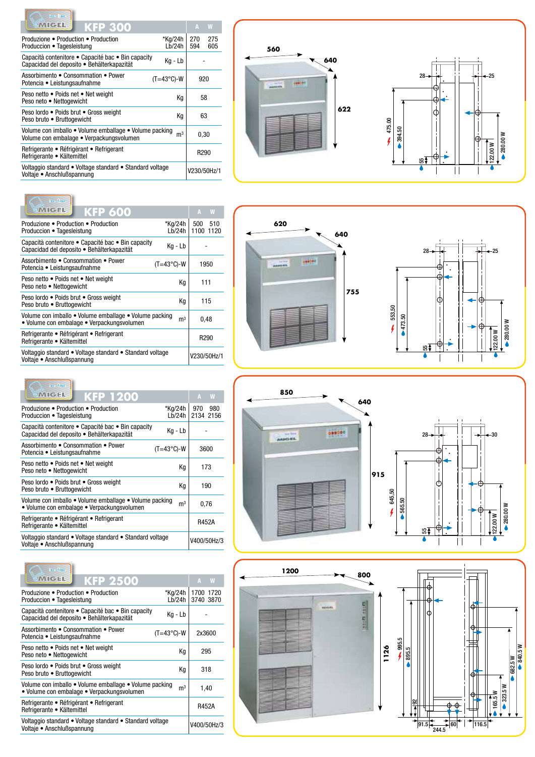| ico lino                                                                                           |                     |                |                  |            |
|----------------------------------------------------------------------------------------------------|---------------------|----------------|------------------|------------|
| <b>MIGH</b><br><b>KFP 300</b>                                                                      |                     |                | A                | W          |
| Produzione ● Production ● Production<br>Produccion • Tagesleistung                                 | *Kg/24h<br>Lb/24h   |                | 270<br>594       | 275<br>605 |
| Capacità contenitore · Capacité bac · Bin capacity<br>Capacidad del deposito · Behälterkapazität   | Kg - Lb             |                |                  |            |
| Assorbimento • Consommation • Power<br>Potencia • Leistungsaufnahme                                | $(T=43^{\circ}C)-W$ |                | 920              |            |
| Peso netto . Poids net . Net weight<br>Peso neto . Nettogewicht                                    |                     | Кq             | 58               |            |
| Peso lordo · Poids brut · Gross weight<br>Peso bruto . Bruttogewicht                               |                     | Кq             | 63               |            |
| Volume con imballo • Volume emballage • Volume packing<br>Volume con embalage · Verpackungsvolumen |                     | m <sup>3</sup> | 0.30             |            |
| Refrigerante • Réfrigérant • Refrigerant<br>Refrigerante · Kältemittel                             |                     |                | R <sub>290</sub> |            |
| Voltaggio standard • Voltage standard • Standard voltage<br>Voltaje • Anschlußspannung             |                     |                | V230/50Hz/1      |            |

| ico lino                                                                                             |                     |                  |             |
|------------------------------------------------------------------------------------------------------|---------------------|------------------|-------------|
| <b>KMGEL</b><br><b>KFP 600</b>                                                                       |                     | A                | W           |
| Produzione ● Production ● Production<br>Produccion • Tagesleistung                                   | *Kg/24h<br>Lb/24h   | 500<br>1100 1120 | 510         |
| Capacità contenitore • Capacité bac • Bin capacity<br>Capacidad del deposito · Behälterkapazität     | Kg - Lb             |                  |             |
| Assorbimento • Consommation • Power<br>Potencia • Leistungsaufnahme                                  | $(T=43^{\circ}C)-W$ | 1950             |             |
| Peso netto • Poids net • Net weight<br>Peso neto • Nettogewicht                                      | Κq                  | 111              |             |
| Peso lordo · Poids brut · Gross weight<br>Peso bruto . Bruttogewicht                                 | Κq                  | 115              |             |
| Volume con imballo • Volume emballage • Volume packing<br>• Volume con embalage • Verpackungsvolumen | m <sup>3</sup>      | 0,48             |             |
| Refrigerante • Réfrigérant • Refrigerant<br>Refrigerante · Kältemittel                               |                     | R <sub>290</sub> |             |
| Voltaggio standard • Voltage standard • Standard voltage<br>Voltaje · Anschlußspannung               |                     |                  | V230/50Hz/1 |

 $\overline{\phantom{0}}$ 

| ice line                                                                                             |                     |                  |             |
|------------------------------------------------------------------------------------------------------|---------------------|------------------|-------------|
| <b>KMGEL</b><br><b>KFP 1200</b>                                                                      |                     | А                | <b>W</b>    |
| Produzione ● Production ● Production<br>Produccion • Tagesleistung                                   | *Kg/24h<br>Lb/24h   | 970<br>2134 2156 | 980         |
| Capacità contenitore • Capacité bac • Bin capacity<br>Capacidad del deposito · Behälterkapazität     | Kg - Lb             |                  |             |
| Assorbimento • Consommation • Power<br>Potencia • Leistungsaufnahme                                  | $(T=43^{\circ}C)-W$ | 3600             |             |
| Peso netto • Poids net • Net weight<br>Peso neto . Nettogewicht                                      | Кq                  | 173              |             |
| Peso lordo . Poids brut . Gross weight<br>Peso bruto . Bruttogewicht                                 | Кq                  | 190              |             |
| Volume con imballo • Volume emballage • Volume packing<br>• Volume con embalage • Verpackungsvolumen | m <sup>3</sup>      | 0,76             |             |
| Refrigerante • Réfrigérant • Refrigerant<br>Refrigerante · Kältemittel                               |                     | R452A            |             |
| Voltaggio standard • Voltage standard • Standard voltage<br>Voltaje • Anschlußspannung               |                     |                  | V400/50Hz/3 |
|                                                                                                      |                     |                  |             |

| ice line                                                                                             |                     |                        |
|------------------------------------------------------------------------------------------------------|---------------------|------------------------|
| <b>KMGEL</b><br><b>KFP 2500</b>                                                                      |                     | W<br>А                 |
| Produzione ● Production ● Production<br>Produccion • Tagesleistung                                   | *Kg/24h<br>Lb/24h   | 1700 1720<br>3740 3870 |
| Capacità contenitore · Capacité bac · Bin capacity<br>Capacidad del deposito · Behälterkapazität     | Kg - Lb             |                        |
| Assorbimento • Consommation • Power<br>Potencia • Leistungsaufnahme                                  | $(T=43^{\circ}C)-W$ | 2x3600                 |
| Peso netto . Poids net . Net weight<br>Peso neto . Nettogewicht                                      | Κq                  | 295                    |
| Peso lordo · Poids brut · Gross weight<br>Peso bruto . Bruttogewicht                                 | Κq                  | 318                    |
| Volume con imballo • Volume emballage • Volume packing<br>• Volume con embalage • Verpackungsvolumen | $\mathsf{m}^3$      | 1,40                   |
| Refrigerante • Réfrigérant • Refrigerant<br>Refrigerante • Kältemittel                               |                     | R452A                  |
| Voltaggio standard • Voltage standard • Standard voltage<br>Voltaje • Anschlußspannung               |                     | V400/50Hz/3            |
|                                                                                                      |                     |                        |

![](_page_3_Figure_4.jpeg)

![](_page_3_Figure_5.jpeg)

![](_page_3_Figure_6.jpeg)

![](_page_3_Figure_7.jpeg)

![](_page_3_Figure_8.jpeg)

![](_page_3_Figure_9.jpeg)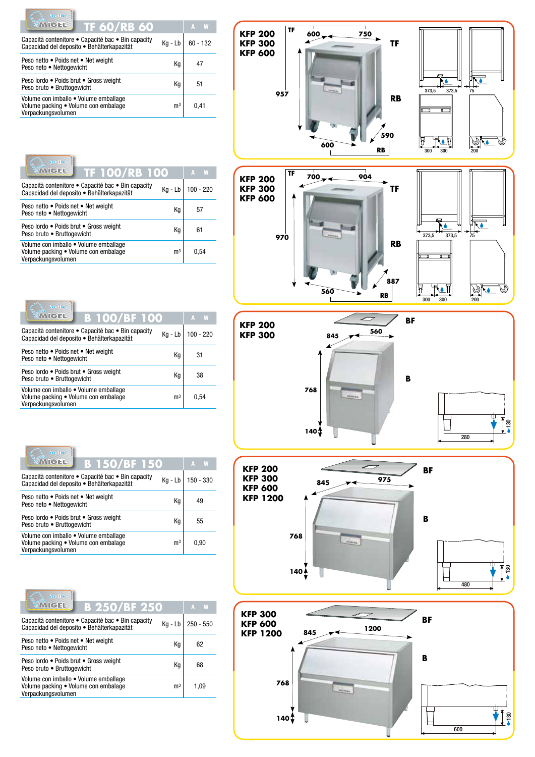| ice line                                                                                            |                |            |
|-----------------------------------------------------------------------------------------------------|----------------|------------|
| <b><i>CMGEL</i></b><br><b>TF 60/RB 60</b>                                                           |                | A          |
| Capacità contenitore • Capacité bac • Bin capacity<br>Capacidad del deposito · Behälterkapazität    | Kg - Lb        | $60 - 132$ |
| Peso netto . Poids net . Net weight<br>Peso neto • Nettogewicht                                     | Кq             | 47         |
| Peso lordo . Poids brut . Gross weight<br>Peso bruto . Bruttogewicht                                | Кq             | 51         |
| Volume con imballo • Volume emballage<br>Volume packing • Volume con embalage<br>Verpackungsvolumen | m <sup>3</sup> | 0.41       |

| ice line                                                                                            |                |             |
|-----------------------------------------------------------------------------------------------------|----------------|-------------|
| <b><i><u>IMIGH</u></i></b><br><b>TF 100/RB 100</b>                                                  |                | W<br>A      |
| Capacità contenitore • Capacité bac • Bin capacity<br>Capacidad del deposito · Behälterkapazität    | Kg - Lb        | $100 - 220$ |
| Peso netto • Poids net • Net weight<br>Peso neto • Nettogewicht                                     | Кq             | 57          |
| Peso lordo · Poids brut · Gross weight<br>Peso bruto . Bruttogewicht                                | Κa             | 61          |
| Volume con imballo • Volume emballage<br>Volume packing • Volume con embalage<br>Verpackungsvolumen | m <sup>3</sup> | 0.54        |

| ice line<br><b>KMICH!</b><br><b>B 100/BF 100</b>                                                    |                | W<br>A    |
|-----------------------------------------------------------------------------------------------------|----------------|-----------|
| Capacità contenitore • Capacité bac • Bin capacity<br>Capacidad del deposito · Behälterkapazität    | Kg - Lb        | 100 - 220 |
| Peso netto • Poids net • Net weight<br>Peso neto • Nettogewicht                                     | Кq             | 31        |
| Peso lordo · Poids brut · Gross weight<br>Peso bruto . Bruttogewicht                                | Кq             | 38        |
| Volume con imballo • Volume emballage<br>Volume packing • Volume con embalage<br>Verpackungsvolumen | m <sup>3</sup> | 0.54      |

| ico line                                                                                            |                |           |  |
|-----------------------------------------------------------------------------------------------------|----------------|-----------|--|
| <b>CMICEL</b><br><b>B 150/BF 150</b>                                                                |                | W<br>A    |  |
| Capacità contenitore • Capacité bac • Bin capacity<br>Capacidad del deposito · Behälterkapazität    | Kg - Lb        | 150 - 330 |  |
| Peso netto • Poids net • Net weight<br>Peso neto • Nettogewicht                                     | Кq             | 49        |  |
| Peso lordo · Poids brut · Gross weight<br>Peso bruto . Bruttogewicht                                | Κq             | 55        |  |
| Volume con imballo · Volume emballage<br>Volume packing . Volume con embalage<br>Verpackungsvolumen | m <sup>3</sup> | 0.90      |  |

| ico line<br><b><i><u>MICH</u></i></b><br><b>B 250/BF 250</b>                                        |                | W<br>А      |
|-----------------------------------------------------------------------------------------------------|----------------|-------------|
| Capacità contenitore • Capacité bac • Bin capacity<br>Capacidad del deposito · Behälterkapazität    | Kg - Lb        | $250 - 550$ |
| Peso netto . Poids net . Net weight<br>Peso neto . Nettogewicht                                     | Κq             | 62          |
| Peso lordo · Poids brut · Gross weight<br>Peso bruto . Bruttogewicht                                | Кq             | 68          |
| Volume con imballo · Volume emballage<br>Volume packing • Volume con embalage<br>Verpackungsvolumen | m <sup>3</sup> | 1.09        |

![](_page_4_Figure_5.jpeg)